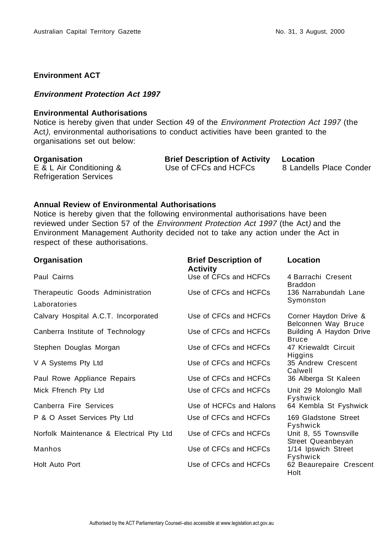## **Environment ACT**

### **Environment Protection Act 1997**

#### **Environmental Authorisations**

Notice is hereby given that under Section 49 of the Environment Protection Act 1997 (the Act), environmental authorisations to conduct activities have been granted to the organisations set out below:

E & L Air Conditioning & Refrigeration Services

**Organisation Brief Description of Activity Location** Use of CFCs and HCFCs 8 Landells Place Conder

### **Annual Review of Environmental Authorisations**

Notice is hereby given that the following environmental authorisations have been reviewed under Section 57 of the Environment Protection Act 1997 (the Act) and the Environment Management Authority decided not to take any action under the Act in respect of these authorisations.

| Organisation                             | <b>Brief Description of</b><br><b>Activity</b> | Location                                     |
|------------------------------------------|------------------------------------------------|----------------------------------------------|
| Paul Cairns                              | Use of CFCs and HCFCs                          | 4 Barrachi Cresent<br><b>Braddon</b>         |
| Therapeutic Goods Administration         | Use of CFCs and HCFCs                          | 136 Narrabundah Lane                         |
| Laboratories                             |                                                | Symonston                                    |
| Calvary Hospital A.C.T. Incorporated     | Use of CFCs and HCFCs                          | Corner Haydon Drive &<br>Belconnen Way Bruce |
| Canberra Institute of Technology         | Use of CFCs and HCFCs                          | Building A Haydon Drive<br><b>Bruce</b>      |
| Stephen Douglas Morgan                   | Use of CFCs and HCFCs                          | 47 Kriewaldt Circuit<br>Higgins              |
| V A Systems Pty Ltd                      | Use of CFCs and HCFCs                          | 35 Andrew Crescent<br>Calwell                |
| Paul Rowe Appliance Repairs              | Use of CFCs and HCFCs                          | 36 Alberga St Kaleen                         |
| Mick Ffrench Pty Ltd                     | Use of CFCs and HCFCs                          | Unit 29 Molonglo Mall<br>Fyshwick            |
| Canberra Fire Services                   | Use of HCFCs and Halons                        | 64 Kembla St Fyshwick                        |
| P & O Asset Services Pty Ltd             | Use of CFCs and HCFCs                          | 169 Gladstone Street<br>Fyshwick             |
| Norfolk Maintenance & Electrical Pty Ltd | Use of CFCs and HCFCs                          | Unit 8, 55 Townsville<br>Street Queanbeyan   |
| Manhos                                   | Use of CFCs and HCFCs                          | 1/14 Ipswich Street<br>Fyshwick              |
| Holt Auto Port                           | Use of CFCs and HCFCs                          | 62 Beaurepaire Crescent<br>Holt              |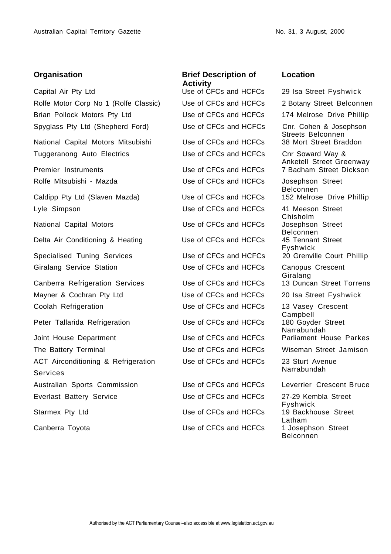Capital Air Pty Ltd Use of CFCs and HCFCs 29 Isa Street Fyshwick Rolfe Motor Corp No 1 (Rolfe Classic) Use of CFCs and HCFCs 2 Botany Street Belconnen Brian Pollock Motors Pty Ltd Use of CFCs and HCFCs 174 Melrose Drive Phillip Spyglass Pty Ltd (Shepherd Ford) Use of CFCs and HCFCs Cnr. Cohen & Josephson

National Capital Motors Mitsubishi Use of CFCs and HCFCs 38 Mort Street Braddon Tuggeranong Auto Electrics Use of CFCs and HCFCs Cnr Soward Way &

Caldipp Pty Ltd (Slaven Mazda) Use of CFCs and HCFCs 152 Melrose Drive Phillip Lyle Simpson Use of CFCs and HCFCs 41 Meeson Street

National Capital Motors **National Capital Motors** Use of CFCs and HCFCs Josephson Street

Delta Air Conditioning & Heating Use of CFCs and HCFCs

Specialised Tuning Services Use of CFCs and HCFCs 20 Grenville Court Phillip Giralang Service Station Use of CFCs and HCFCs Canopus Crescent

Canberra Refrigeration Services Use of CFCs and HCFCs 13 Duncan Street Torrens Mayner & Cochran Pty Ltd Use of CFCs and HCFCs 20 Isa Street Fyshwick Coolah Refrigeration Use of CFCs and HCFCs 13 Vasey Crescent

Peter Tallarida Refrigeration Use of CFCs and HCFCs

Joint House Department The Use of CFCs and HCFCs Parliament House Parkes The Battery Terminal Use of CFCs and HCFCs Wiseman Street Jamison ACT Airconditioning & Refrigeration Services Australian Sports Commission Use of CFCs and HCFCs Leverrier Crescent Bruce Everlast Battery Service Use of CFCs and HCFCs 27-29 Kembla Street Starmex Pty Ltd **CFCS** Use of CFCs and HCFCs 19 Backhouse Street

# **Organisation Brief Description of Activity**<br>Use of CFCs and HCFCs

Rolfe Mitsubishi - Mazda **Name Street** Use of CFCs and HCFCs Josephson Street

Use of CFCs and HCFCs 23 Sturt Avenue

Canberra Toyota **Canberra** Toyota **CRICS** Use of CFCs and HCFCs

### **Location**

Streets Belconnen Anketell Street Greenway Premier Instruments Use of CFCs and HCFCs 7 Badham Street Dickson Belconnen Chisholm Belconnen<br>45 Tennant Street Fyshwick Giralang Campbell<br>180 Goyder Street Narrabundah Narrabundah

> Fyshwick Latham<br>1 Josephson Street Belconnen